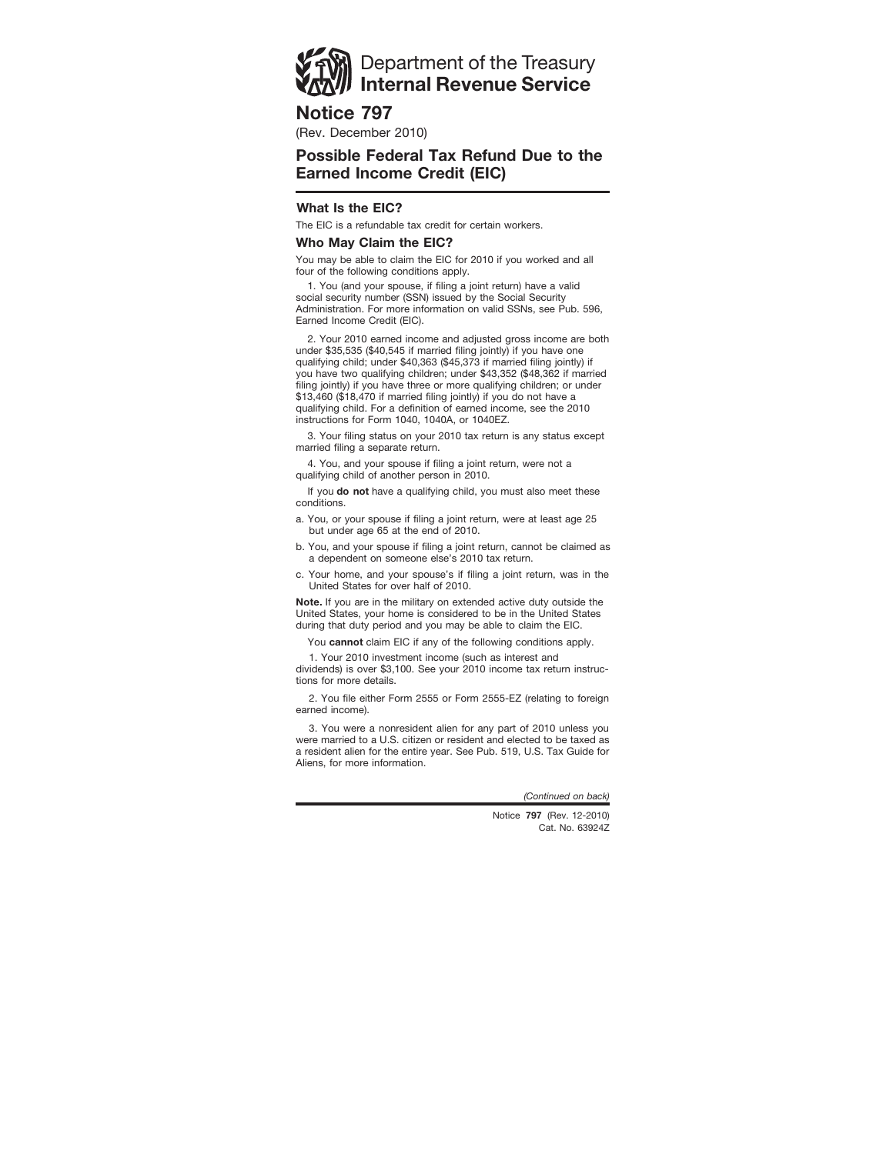

**Notice 797**

(Rev. December 2010)

# **Possible Federal Tax Refund Due to the Earned Income Credit (EIC)**

# **What Is the EIC?**

The EIC is a refundable tax credit for certain workers.

## **Who May Claim the EIC?**

You may be able to claim the EIC for 2010 if you worked and all four of the following conditions apply.

1. You (and your spouse, if filing a joint return) have a valid social security number (SSN) issued by the Social Security Administration. For more information on valid SSNs, see Pub. 596, Earned Income Credit (EIC).

2. Your 2010 earned income and adjusted gross income are both under \$35,535 (\$40,545 if married filing jointly) if you have one qualifying child; under \$40,363 (\$45,373 if married filing jointly) if you have two qualifying children; under \$43,352 (\$48,362 if married filing jointly) if you have three or more qualifying children; or under \$13,460 (\$18,470 if married filing jointly) if you do not have a qualifying child. For a definition of earned income, see the 2010 instructions for Form 1040, 1040A, or 1040EZ.

3. Your filing status on your 2010 tax return is any status except married filing a separate return.

4. You, and your spouse if filing a joint return, were not a qualifying child of another person in 2010.

If you **do not** have a qualifying child, you must also meet these conditions.

a. You, or your spouse if filing a joint return, were at least age 25 but under age 65 at the end of 2010.

b. You, and your spouse if filing a joint return, cannot be claimed as a dependent on someone else's 2010 tax return.

c. Your home, and your spouse's if filing a joint return, was in the United States for over half of 2010.

**Note.** If you are in the military on extended active duty outside the United States, your home is considered to be in the United States during that duty period and you may be able to claim the EIC.

You **cannot** claim EIC if any of the following conditions apply.

1. Your 2010 investment income (such as interest and

dividends) is over \$3,100. See your 2010 income tax return instructions for more details.

2. You file either Form 2555 or Form 2555-EZ (relating to foreign earned income).

3. You were a nonresident alien for any part of 2010 unless you were married to a U.S. citizen or resident and elected to be taxed as a resident alien for the entire year. See Pub. 519, U.S. Tax Guide for Aliens, for more information.

*(Continued on back)*

Cat. No. 63924Z Notice **797** (Rev. 12-2010)